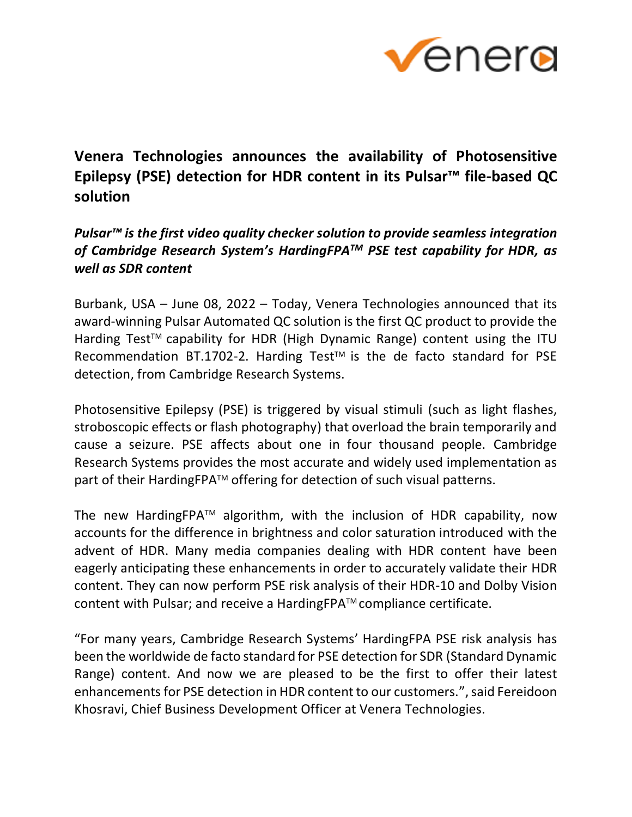

## **Venera Technologies announces the availability of Photosensitive Epilepsy (PSE) detection for HDR content in its Pulsar™ file-based QC solution**

## *Pulsar™ is the first video quality checker solution to provide seamless integration of Cambridge Research System's HardingFPATM PSE test capability for HDR, as well as SDR content*

Burbank, USA – June 08, 2022 – Today, Venera Technologies announced that its award-winning Pulsar Automated QC solution is the first QC product to provide the Harding Test<sup>™</sup> capability for HDR (High Dynamic Range) content using the ITU Recommendation BT.1702-2. Harding Test™ is the de facto standard for PSE detection, from Cambridge Research Systems.

Photosensitive Epilepsy (PSE) is triggered by visual stimuli (such as light flashes, stroboscopic effects or flash photography) that overload the brain temporarily and cause a seizure. PSE affects about one in four thousand people. Cambridge Research Systems provides the most accurate and widely used implementation as part of their HardingFPA™ offering for detection of such visual patterns.

The new HardingFPA<sup>TM</sup> algorithm, with the inclusion of HDR capability, now accounts for the difference in brightness and color saturation introduced with the advent of HDR. Many media companies dealing with HDR content have been eagerly anticipating these enhancements in order to accurately validate their HDR content. They can now perform PSE risk analysis of their HDR-10 and Dolby Vision content with Pulsar; and receive a HardingFPATM compliance certificate.

"For many years, Cambridge Research Systems' HardingFPA PSE risk analysis has been the worldwide de facto standard for PSE detection for SDR (Standard Dynamic Range) content. And now we are pleased to be the first to offer their latest enhancements for PSE detection in HDR content to our customers.", said Fereidoon Khosravi, Chief Business Development Officer at Venera Technologies.